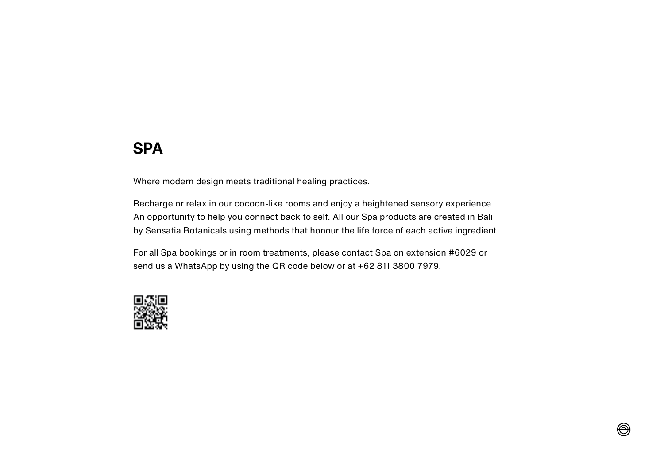# **SPA**

Where modern design meets traditional healing practices.

Recharge or relax in our cocoon-like rooms and enjoy a heightened sensory experience. An opportunity to help you connect back to self. All our Spa products are created in Bali by Sensatia Botanicals using methods that honour the life force of each active ingredient.

For all Spa bookings or in room treatments, please contact Spa on extension #6029 or send us a WhatsApp by using the QR code below or at +62 811 3800 7979.

 $\circledR$ 

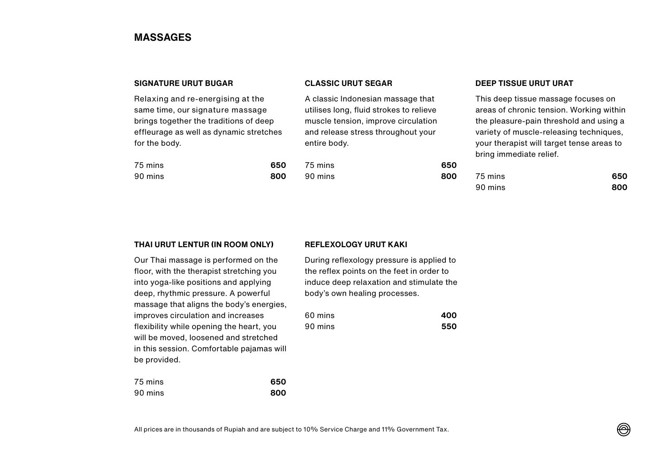## **MASSAGES**

## **SIGNATURE URUT BUGAR**

Relaxing and re-energising at the same time, our signature massage brings together the traditions of deep effleurage as well as dynamic stretches for the body.

| 75 mins | 650 |
|---------|-----|
| 90 mins | 800 |

## **CLASSIC URUT SEGAR**

A classic Indonesian massage that utilises long, fluid strokes to relieve muscle tension, improve circulation and release stress throughout your entire body.

| 75 mins | 650 |
|---------|-----|
| 90 mins | 800 |

## **DEEP TISSUE URUT URAT**

This deep tissue massage focuses on areas of chronic tension. Working within the pleasure-pain threshold and using a variety of muscle-releasing techniques, your therapist will target tense areas to bring immediate relief.

| 75 mins | 650 |
|---------|-----|
| 90 mins | 800 |

### **THAI URUT LENTUR (IN ROOM ONLY)**

### **REFLEXOLOGY URUT KAKI**

Our Thai massage is performed on the floor, with the therapist stretching you into yoga-like positions and applying deep, rhythmic pressure. A powerful massage that aligns the body's energies, improves circulation and increases flexibility while opening the heart, you will be moved, loosened and stretched in this session. Comfortable pajamas will be provided.

| 75 mins | 650 |
|---------|-----|
| 90 mins | 800 |

During reflexology pressure is applied to the reflex points on the feet in order to induce deep relaxation and stimulate the body's own healing processes.

| 60 mins | 400 |
|---------|-----|
| 90 mins | 550 |

All prices are in thousands of Rupiah and are subject to 10% Service Charge and 11% Government Tax.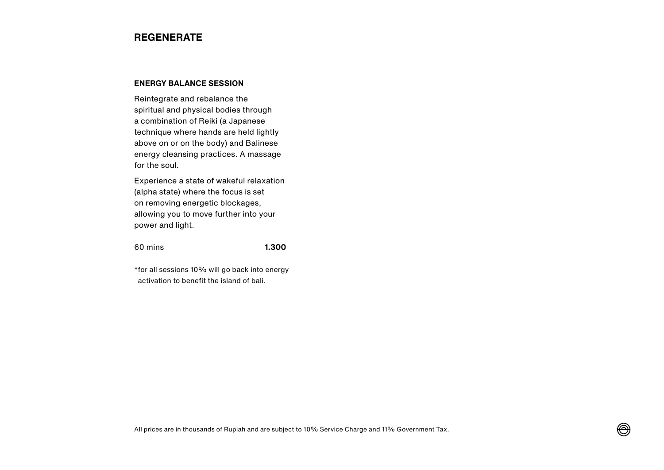## **REGENERATE**

## **ENERGY BALANCE SESSION**

Reintegrate and rebalance the spiritual and physical bodies through a combination of Reiki (a Japanese technique where hands are held lightly above on or on the body) and Balinese energy cleansing practices. A massage for the soul.

Experience a state of wakeful relaxation (alpha state) where the focus is set on removing energetic blockages, allowing you to move further into your power and light.

### 60 mins **1.300**

\*for all sessions 10% will go back into energy activation to benefit the island of bali.

⊛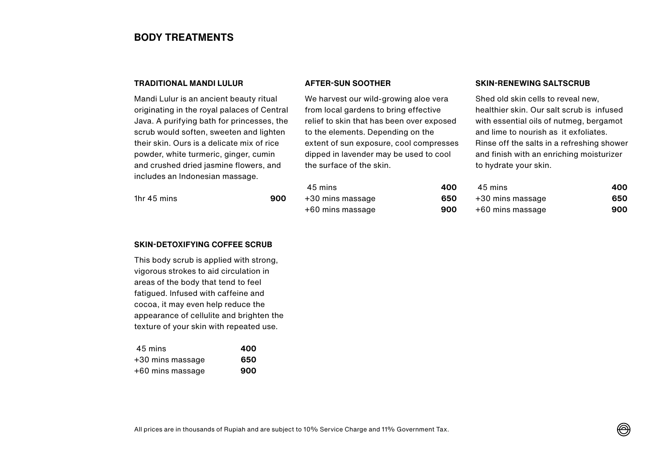## **BODY TREATMENTS**

## **TRADITIONAL MANDI LULUR**

Mandi Lulur is an ancient beauty ritual originating in the royal palaces of Central Java. A purifying bath for princesses, the scrub would soften, sweeten and lighten their skin. Ours is a delicate mix of rice powder, white turmeric, ginger, cumin and crushed dried jasmine flowers, and includes an Indonesian massage.

1hr 45 mins **900**

We harvest our wild-growing aloe vera

**AFTER-SUN SOOTHER**

from local gardens to bring effective relief to skin that has been over exposed to the elements. Depending on the extent of sun exposure, cool compresses dipped in lavender may be used to cool the surface of the skin.

## **SKIN-RENEWING SALTSCRUB**

Shed old skin cells to reveal new, healthier skin. Our salt scrub is infused with essential oils of nutmeg, bergamot and lime to nourish as it exfoliates. Rinse off the salts in a refreshing shower and finish with an enriching moisturizer to hydrate your skin.

| 45 mins          | 400 | 45 mins          | 400 |
|------------------|-----|------------------|-----|
| +30 mins massage | 650 | +30 mins massage | 650 |
| +60 mins massage | 900 | +60 mins massage | 900 |

### **SKIN-DETOXIFYING COFFEE SCRUB**

This body scrub is applied with strong, vigorous strokes to aid circulation in areas of the body that tend to feel fatigued. Infused with caffeine and cocoa, it may even help reduce the appearance of cellulite and brighten the texture of your skin with repeated use.

| 45 mins          | 400 |
|------------------|-----|
| +30 mins massage | 650 |
| +60 mins massage | 900 |